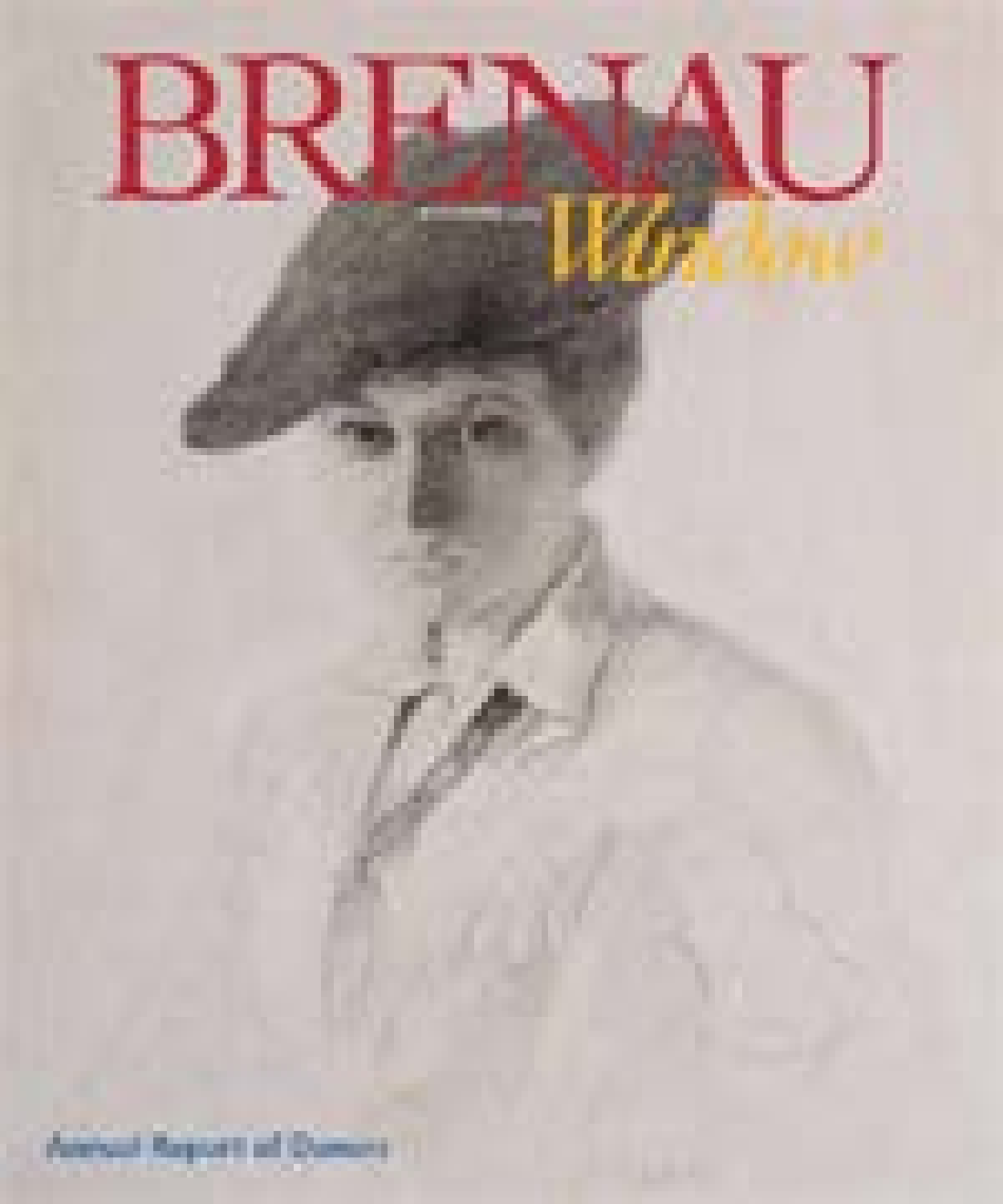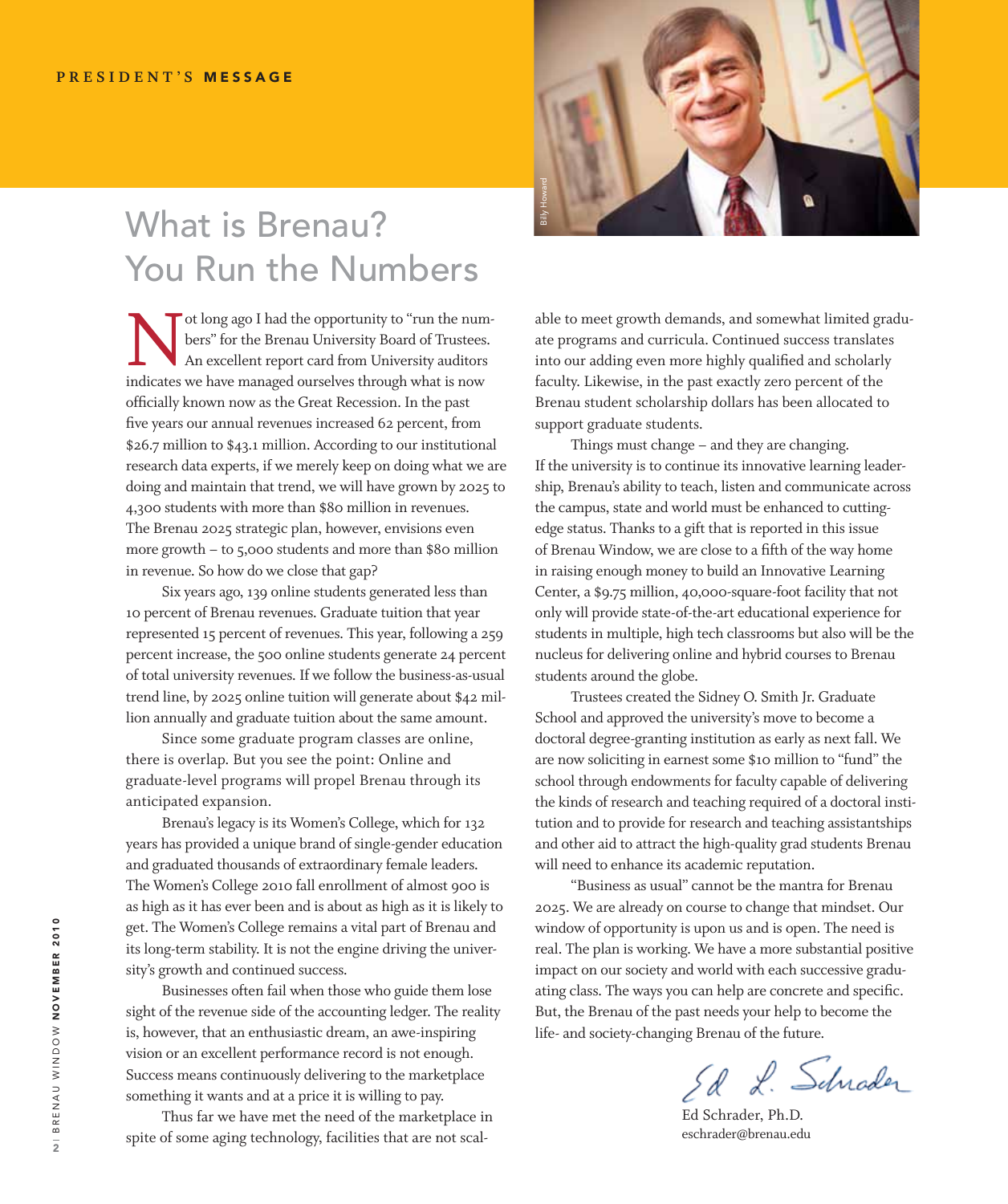## What is Brenau? You Run the Numbers

Tot long ago I had the opportunity to "run the num-<br>bers" for the Brenau University Board of Trustees.<br>An excellent report card from University auditors<br>indicates we have managed ourselves through what is now bers" for the Brenau University Board of Trustees. An excellent report card from University auditors indicates we have managed ourselves through what is now officially known now as the Great Recession. In the past five years our annual revenues increased 62 percent, from \$26.7 million to \$43.1 million. According to our institutional research data experts, if we merely keep on doing what we are doing and maintain that trend, we will have grown by 2025 to 4,300 students with more than \$80 million in revenues. The Brenau 2025 strategic plan, however, envisions even more growth – to 5,000 students and more than \$80 million in revenue. So how do we close that gap?

Six years ago, 139 online students generated less than 10 percent of Brenau revenues. Graduate tuition that year represented 15 percent of revenues. This year, following a 259 percent increase, the 500 online students generate 24 percent of total university revenues. If we follow the business-as-usual trend line, by 2025 online tuition will generate about \$42 million annually and graduate tuition about the same amount.

Since some graduate program classes are online, there is overlap. But you see the point: Online and graduate-level programs will propel Brenau through its anticipated expansion.

Brenau's legacy is its Women's College, which for 132 years has provided a unique brand of single-gender education and graduated thousands of extraordinary female leaders. The Women's College 2010 fall enrollment of almost 900 is as high as it has ever been and is about as high as it is likely to get. The Women's College remains a vital part of Brenau and its long-term stability. It is not the engine driving the university's growth and continued success.

Businesses often fail when those who guide them lose sight of the revenue side of the accounting ledger. The reality is, however, that an enthusiastic dream, an awe-inspiring vision or an excellent performance record is not enough. Success means continuously delivering to the marketplace something it wants and at a price it is willing to pay.

Thus far we have met the need of the marketplace in spite of some aging technology, facilities that are not scal-



able to meet growth demands, and somewhat limited graduate programs and curricula. Continued success translates into our adding even more highly qualified and scholarly faculty. Likewise, in the past exactly zero percent of the Brenau student scholarship dollars has been allocated to support graduate students.

Things must change – and they are changing. If the university is to continue its innovative learning leadership, Brenau's ability to teach, listen and communicate across the campus, state and world must be enhanced to cuttingedge status. Thanks to a gift that is reported in this issue of Brenau Window, we are close to a fifth of the way home in raising enough money to build an Innovative Learning Center, a \$9.75 million, 40,000-square-foot facility that not only will provide state-of-the-art educational experience for students in multiple, high tech classrooms but also will be the nucleus for delivering online and hybrid courses to Brenau students around the globe.

Trustees created the Sidney O. Smith Jr. Graduate School and approved the university's move to become a doctoral degree-granting institution as early as next fall. We are now soliciting in earnest some \$10 million to "fund" the school through endowments for faculty capable of delivering the kinds of research and teaching required of a doctoral institution and to provide for research and teaching assistantships and other aid to attract the high-quality grad students Brenau will need to enhance its academic reputation.

"Business as usual" cannot be the mantra for Brenau 2025. We are already on course to change that mindset. Our window of opportunity is upon us and is open. The need is real. The plan is working. We have a more substantial positive impact on our society and world with each successive graduating class. The ways you can help are concrete and specific. But, the Brenau of the past needs your help to become the life- and society-changing Brenau of the future.

Ed L. Schrader

Ed Schrader, Ph.D. eschrader@brenau.edu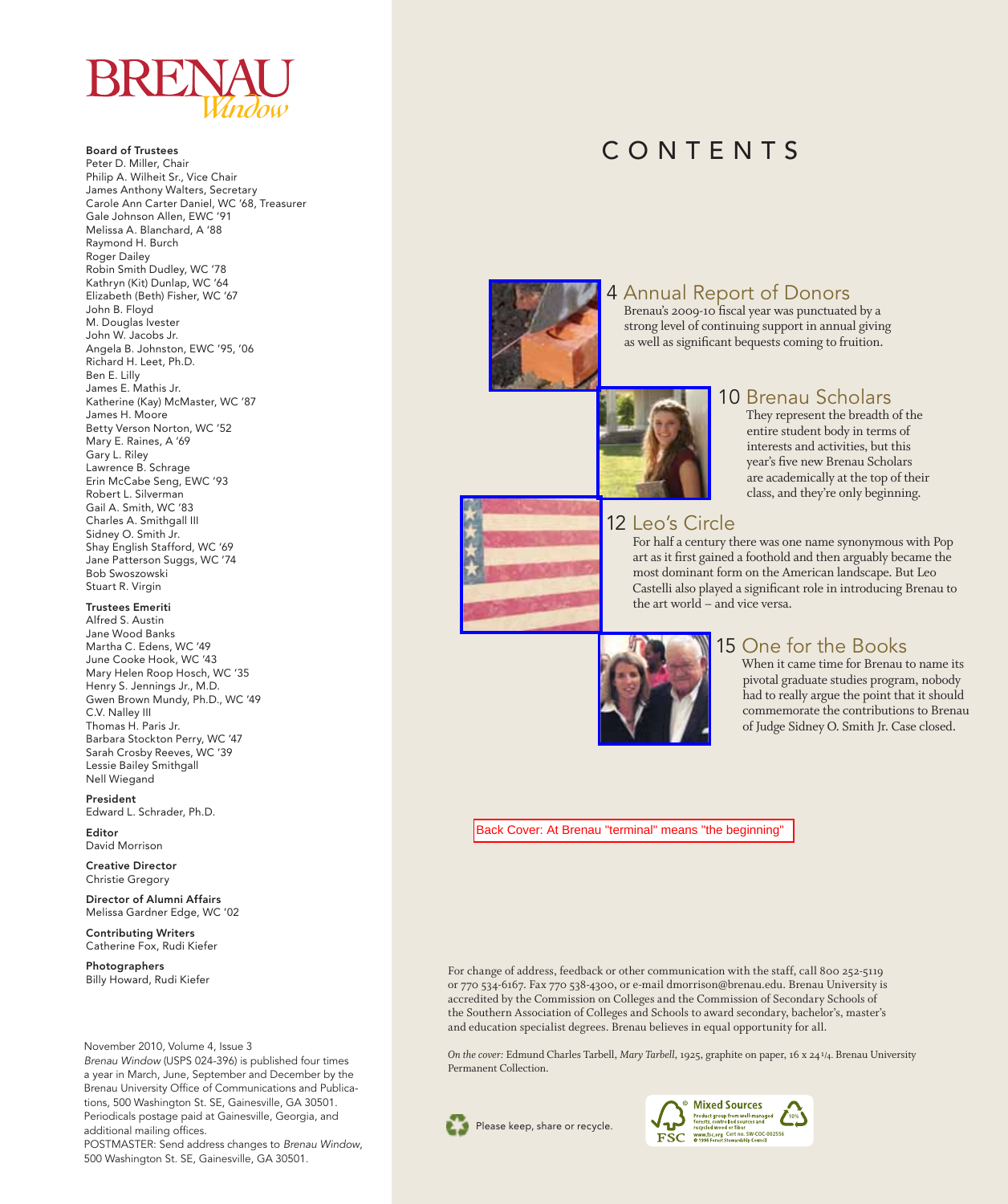

Board of Trustees Peter D. Miller, Chair Philip A. Wilheit Sr., Vice Chair James Anthony Walters, Secretary Carole Ann Carter Daniel, WC '68, Treasurer Gale Johnson Allen, EWC '91 Melissa A. Blanchard, A '88 Raymond H. Burch Roger Dailey Robin Smith Dudley, WC '78 Kathryn (Kit) Dunlap, WC '64 Elizabeth (Beth) Fisher, WC '67 John B. Floyd M. Douglas Ivester John W. Jacobs Jr. Angela B. Johnston, EWC '95, '06 Richard H. Leet, Ph.D. Ben E. Lilly James E. Mathis Jr. Katherine (Kay) McMaster, WC '87 James H. Moore Betty Verson Norton, WC '52 Mary E. Raines, A '69 Gary L. Riley Lawrence B. Schrage Erin McCabe Seng, EWC '93 Robert L. Silverman Gail A. Smith, WC '83 Charles A. Smithgall III Sidney O. Smith Jr. Shay English Stafford, WC '69 Jane Patterson Suggs, WC '74 Bob Swoszowski Stuart R. Virgin

#### Trustees Emeriti

Alfred S. Austin Jane Wood Banks Martha C. Edens, WC '49 June Cooke Hook, WC '43 Mary Helen Roop Hosch, WC '35 Henry S. Jennings Jr., M.D. Gwen Brown Mundy, Ph.D., WC '49 C.V. Nalley III Thomas H. Paris Jr. Barbara Stockton Perry, WC '47 Sarah Crosby Reeves, WC '39 Lessie Bailey Smithgall Nell Wiegand

President Edward L. Schrader, Ph.D.

Editor David Morrison

Creative Director Christie Gregory

Director of Alumni Affairs Melissa Gardner Edge, WC '02

Contributing Writers Catherine Fox, Rudi Kiefer

Photographers Billy Howard, Rudi Kiefer

November 2010, Volume 4, Issue 3

*Brenau Window* (USPS 024-396) is published four times a year in March, June, September and December by the Brenau University Office of Communications and Publications, 500 Washington St. SE, Gainesville, GA 30501. Periodicals postage paid at Gainesville, Georgia, and additional mailing offices.

POSTMASTER: Send address changes to *Brenau Window*, 500 Washington St. SE, Gainesville, GA 30501.

## CONTENTS



### 4 Annual Report of Donors

Brenau's 2009-10 fiscal year was punctuated by a strong level of continuing support in annual giving as well as significant bequests coming to fruition.



### 10 Brenau Scholars

They represent the breadth of the entire student body in terms of interests and activities, but this year's five new Brenau Scholars are academically at the top of their class, and they're only beginning.



12 Leo's Circle

For half a century there was one name synonymous with Pop art as it first gained a foothold and then arguably became the most dominant form on the American landscape. But Leo Castelli also played a significant role in introducing Brenau to the art world – and vice versa.



### 15 One for the Books

When it came time for Brenau to name its pivotal graduate studies program, nobody had to really argue the point that it should commemorate the contributions to Brenau of Judge Sidney O. Smith Jr. Case closed.

[Back Cover: At Brenau "terminal" means "the beginning"](http://artsweb.brenau.edu/BrenauWindow/Fall2010/FallDonor2010DNP.pdf) 

For change of address, feedback or other communication with the staff, call 800 252-5119 or 770 534-6167. Fax 770 538-4300, or e-mail dmorrison@brenau.edu. Brenau University is accredited by the Commission on Colleges and the Commission of Secondary Schools of the Southern Association of Colleges and Schools to award secondary, bachelor's, master's and education specialist degrees. Brenau believes in equal opportunity for all.

*On the cover:* Edmund Charles Tarbell, *Mary Tarbell*, 1925, graphite on paper, 16 x 24 1/4. Brenau University Permanent Collection.



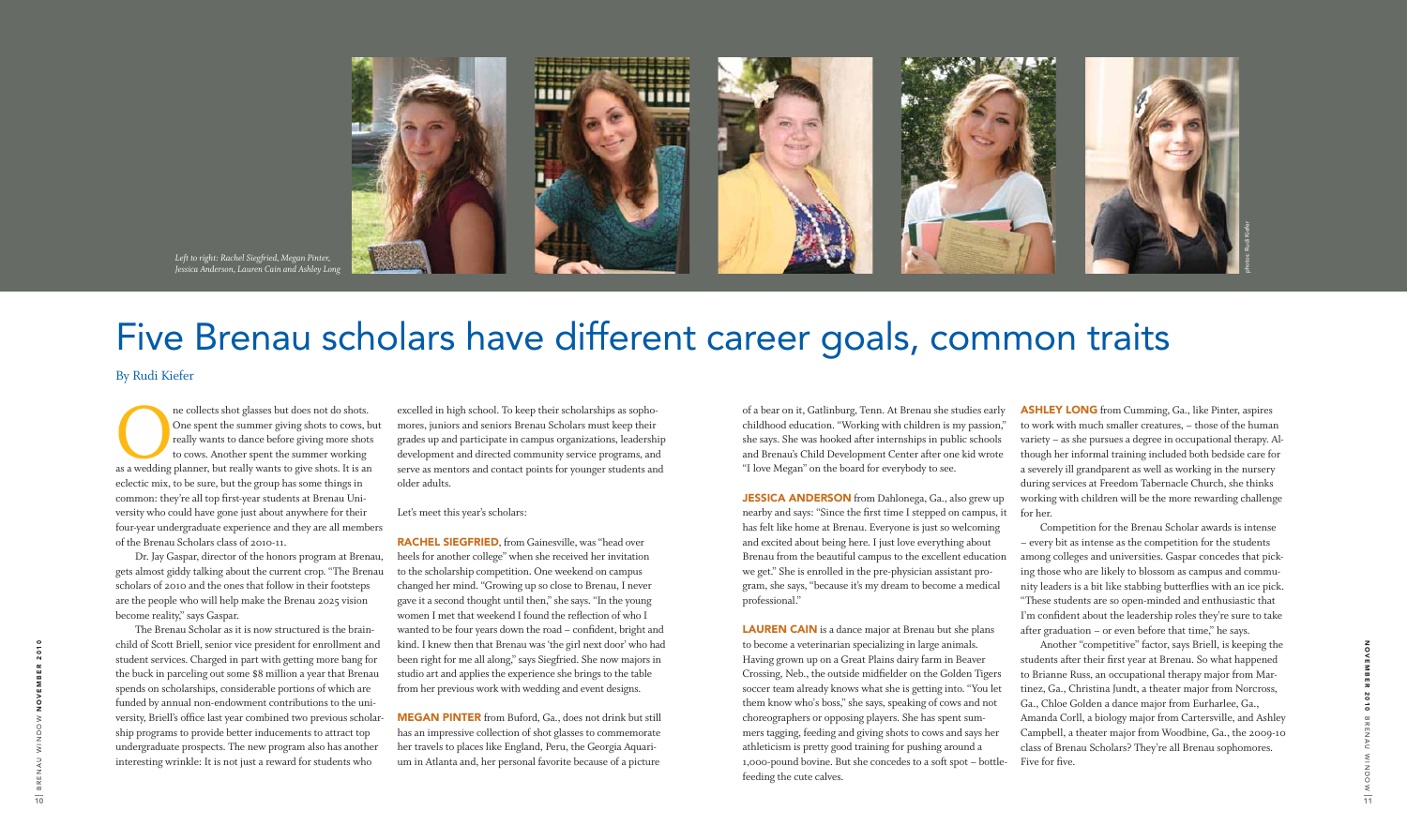The collects shot glasses but does not do shots.<br>
One spent the summer giving shots to cows, bi<br>
really wants to dance before giving more shots<br>
to cows. Another spent the summer working<br>
as a wedding planner, but really w One spent the summer giving shots to cows, but really wants to dance before giving more shots to cows. Another spent the summer working eclectic mix, to be sure, but the group has some things in common: they're all top first-year students at Brenau University who could have gone just about anywhere for their four-year undergraduate experience and they are all members of the Brenau Scholars class of 2010-11.

Dr. Jay Gaspar, director of the honors program at Brenau, gets almost giddy talking about the current crop. "The Brenau scholars of 2010 and the ones that follow in their footsteps are the people who will help make the Brenau 2025 vision become reality," says Gaspar.

The Brenau Scholar as it is now structured is the brainchild of Scott Briell, senior vice president for enrollment and student services. Charged in part with getting more bang for the buck in parceling out some \$8 million a year that Brenau spends on scholarships, considerable portions of which are funded by annual non-endowment contributions to the university, Briell's office last year combined two previous scholarship programs to provide better inducements to attract top undergraduate prospects. The new program also has another interesting wrinkle: It is not just a reward for students who

**RACHEL SIEGFRIED**, from Gainesville, was "head over heels for another college" when she received her invitation to the scholarship competition. One weekend on campus changed her mind. "Growing up so close to Brenau, I never gave it a second thought until then," she says. "In the young women I met that weekend I found the reflection of who I wanted to be four years down the road – confident, bright and kind. I knew then that Brenau was 'the girl next door' who had been right for me all along," says Siegfried. She now majors in studio art and applies the experience she brings to the table from her previous work with wedding and event designs.

**MEGAN PINTER** from Buford, Ga., does not drink but still has an impressive collection of shot glasses to commemorate her travels to places like England, Peru, the Georgia Aquarium in Atlanta and, her personal favorite because of a picture

excelled in high school. To keep their scholarships as sophomores, juniors and seniors Brenau Scholars must keep their grades up and participate in campus organizations, leadership development and directed community service programs, and serve as mentors and contact points for younger students and older adults.

> JESSICA ANDERSON from Dahlonega, Ga., also grew up nearby and says: "Since the first time I stepped on campus, it has felt like home at Brenau. Everyone is just so welcoming and excited about being here. I just love everything about Brenau from the beautiful campus to the excellent education we get." She is enrolled in the pre-physician assistant program, she says, "because it's my dream to become a medical professional."

Let's meet this year's scholars:

**LAUREN CAIN** is a dance major at Brenau but she plans to become a veterinarian specializing in large animals. Having grown up on a Great Plains dairy farm in Beaver Crossing, Neb., the outside midfielder on the Golden Tigers soccer team already knows what she is getting into. "You let them know who's boss," she says, speaking of cows and not choreographers or opposing players. She has spent summers tagging, feeding and giving shots to cows and says her athleticism is pretty good training for pushing around a 1,000-pound bovine. But she concedes to a soft spot – bottlefeeding the cute calves.

**ASHLEY LONG** from Cumming, Ga., like Pinter, aspires to work with much smaller creatures, – those of the human variety – as she pursues a degree in occupational therapy. Although her informal training included both bedside care for a severely ill grandparent as well as working in the nursery during services at Freedom Tabernacle Church, she thinks working with children will be the more rewarding challenge for her.

of a bear on it, Gatlinburg, Tenn. At Brenau she studies early childhood education. "Working with children is my passion," she says. She was hooked after internships in public schools and Brenau's Child Development Center after one kid wrote "I love Megan" on the board for everybody to see.

> Competition for the Brenau Scholar awards is intense – every bit as intense as the competition for the students among colleges and universities. Gaspar concedes that picking those who are likely to blossom as campus and community leaders is a bit like stabbing butterflies with an ice pick. "These students are so open-minded and enthusiastic that I'm confident about the leadership roles they're sure to take after graduation – or even before that time," he says.

> Another "competitive" factor, says Briell, is keeping the students after their first year at Brenau. So what happened to Brianne Russ, an occupational therapy major from Martinez, Ga., Christina Jundt, a theater major from Norcross, Ga., Chloe Golden a dance major from Eurharlee, Ga., Amanda Corll, a biology major from Cartersville, and Ashley Campbell, a theater major from Woodbine, Ga., the 2009-10 class of Brenau Scholars? They're all Brenau sophomores. Five for five.

photos: Rudi Kiefer

By Rudi Kiefer



*Left to right: Rachel Siegfried, Megan Pinter, Jessica Anderson, Lauren Cain and Ashley Long*

## Five Brenau scholars have different career goals, common traits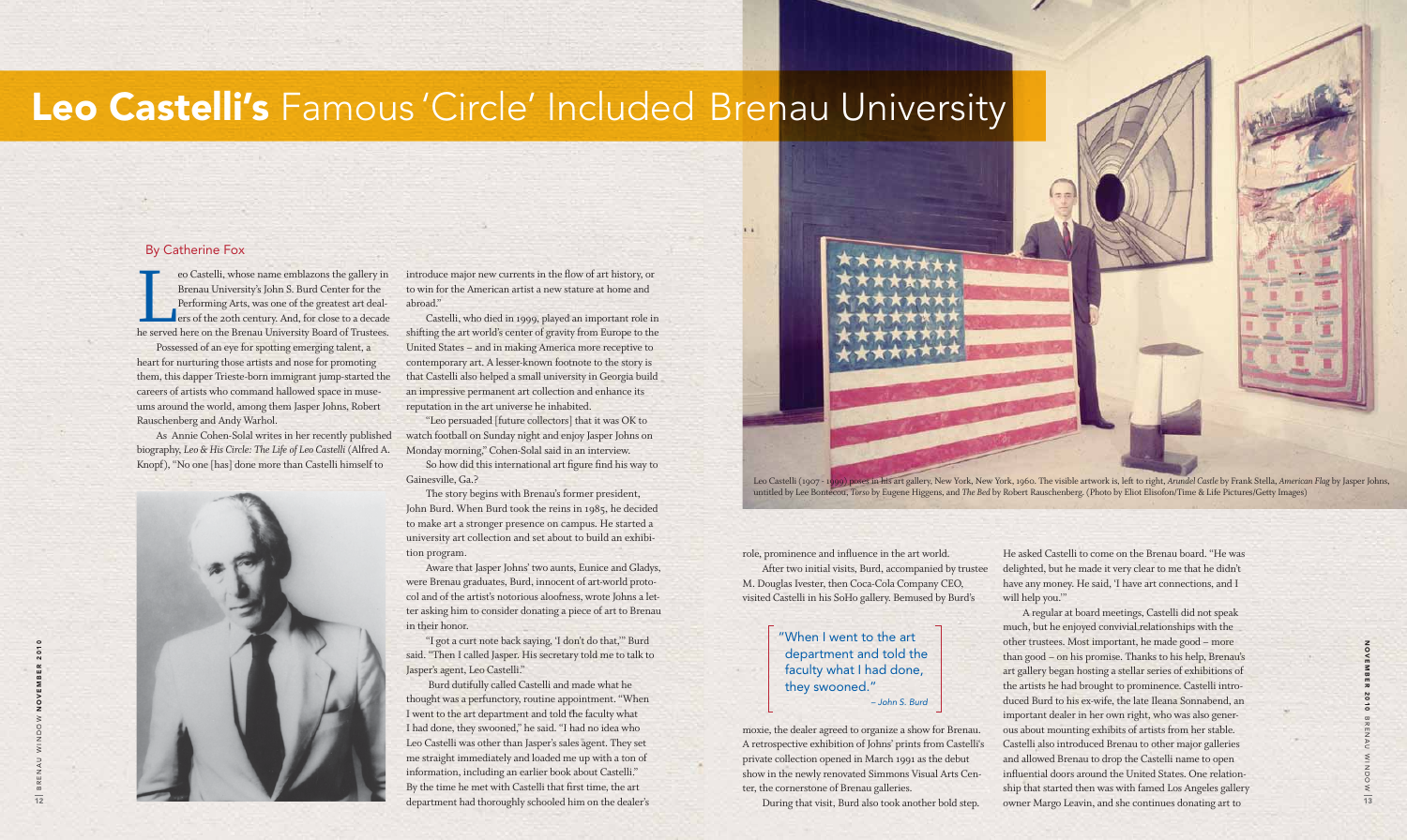N<br>N<br>N<br>N<br>N<br>N e r 2010 ᆽ m Z AWz DOW

Possessed of an eye for spotting emerging talent, a heart for nurturing those artists and nose for promoting them, this dapper Trieste-born immigrant jump-started the careers of artists who command hallowed space in museums around the world, among them Jasper Johns, Robert Rauschenberg and Andy Warhol.

As Annie Cohen-Solal writes in her recently published biography, *Leo & His Circle: The Life of Leo Castelli* (Alfred A. Knopf), "No one [has] done more than Castelli himself to

introduce major new currents in the flow of art history, or to win for the American artist a new stature at home and abroad."

Castelli, who died in 1999, played an important role in shifting the art world's center of gravity from Europe to the United States – and in making America more receptive to contemporary art. A lesser-known footnote to the story is that Castelli also helped a small university in Georgia build an impressive permanent art collection and enhance its reputation in the art universe he inhabited.



"Leo persuaded [future collectors] that it was OK to watch football on Sunday night and enjoy Jasper Johns on Monday morning," Cohen-Solal said in an interview.

So how did this international art figure find his way to Gainesville, Ga.?

The story begins with Brenau's former president, John Burd. When Burd took the reins in 1985, he decided to make art a stronger presence on campus. He started a university art collection and set about to build an exhibition program.

Aware that Jasper Johns' two aunts, Eunice and Gladys, were Brenau graduates, Burd, innocent of art-world protocol and of the artist's notorious aloofness, wrote Johns a letter asking him to consider donating a piece of art to Brenau in their honor.

"I got a curt note back saying, 'I don't do that,'" Burd said. "Then I called Jasper. His secretary told me to talk to Jasper's agent, Leo Castelli."

Burd dutifully called Castelli and made what he thought was a perfunctory, routine appointment. "When I went to the art department and told the faculty what I had done, they swooned," he said. "I had no idea who Leo Castelli was other than Jasper's sales agent. They set me straight immediately and loaded me up with a ton of information, including an earlier book about Castelli." By the time he met with Castelli that first time, the art



role, prominence and influence in the art world. After two initial visits, Burd, accompanied by trustee M. Douglas Ivester, then Coca-Cola Company CEO, visited Castelli in his SoHo gallery. Bemused by Burd's

moxie, the dealer agreed to organize a show for Brenau. A retrospective exhibition of Johns' prints from Castelli's private collection opened in March 1991 as the debut show in the newly renovated Simmons Visual Arts Center, the cornerstone of Brenau galleries.

During that visit, Burd also took another bold step.

He asked Castelli to come on the Brenau board. "He was delighted, but he made it very clear to me that he didn't have any money. He said, 'I have art connections, and I will help you.'"

A regular at board meetings, Castelli did not speak much, but he enjoyed convivial relationships with the other trustees. Most important, he made good – more than good – on his promise. Thanks to his help, Brenau's art gallery began hosting a stellar series of exhibitions of the artists he had brought to prominence. Castelli introduced Burd to his ex-wife, the late Ileana Sonnabend, an important dealer in her own right, who was also generous about mounting exhibits of artists from her stable. Castelli also introduced Brenau to other major galleries and allowed Brenau to drop the Castelli name to open influential doors around the United States. One relationship that started then was with famed Los Angeles gallery owner Margo Leavin, and she continues donating art to

#### By Catherine Fox

eo Castelli, whose name emblazons the gallery in Brenau University's John S. Burd Center for the Performing Arts, was one of the greatest art dealers of the 20th century. And, for close to a decade he served here on the Br eo Castelli, whose name emblazons the gallery in Brenau University's John S. Burd Center for the Performing Arts, was one of the greatest art deal**ers of the 20th century. And, for close to a decade** 

# Leo Castelli's Famous 'Circle' Included Brenau University

### "When I went to the art department and told the faculty what I had done, they swooned."  *– John S. Burd*

Leo Castelli (1907 - 1999) poses in his art gallery, New York, New York, 1960. The visible artwork is, left to right, *Arundel Castle* by Frank Stella, *American Flag* by Jasper Johns, untitled by Lee Bontecou, *Torso* by Eugene Higgens, and *The Bed* by Robert Rauschenberg. (Photo by Eliot Elisofon/Time & Life Pictures/Getty Images)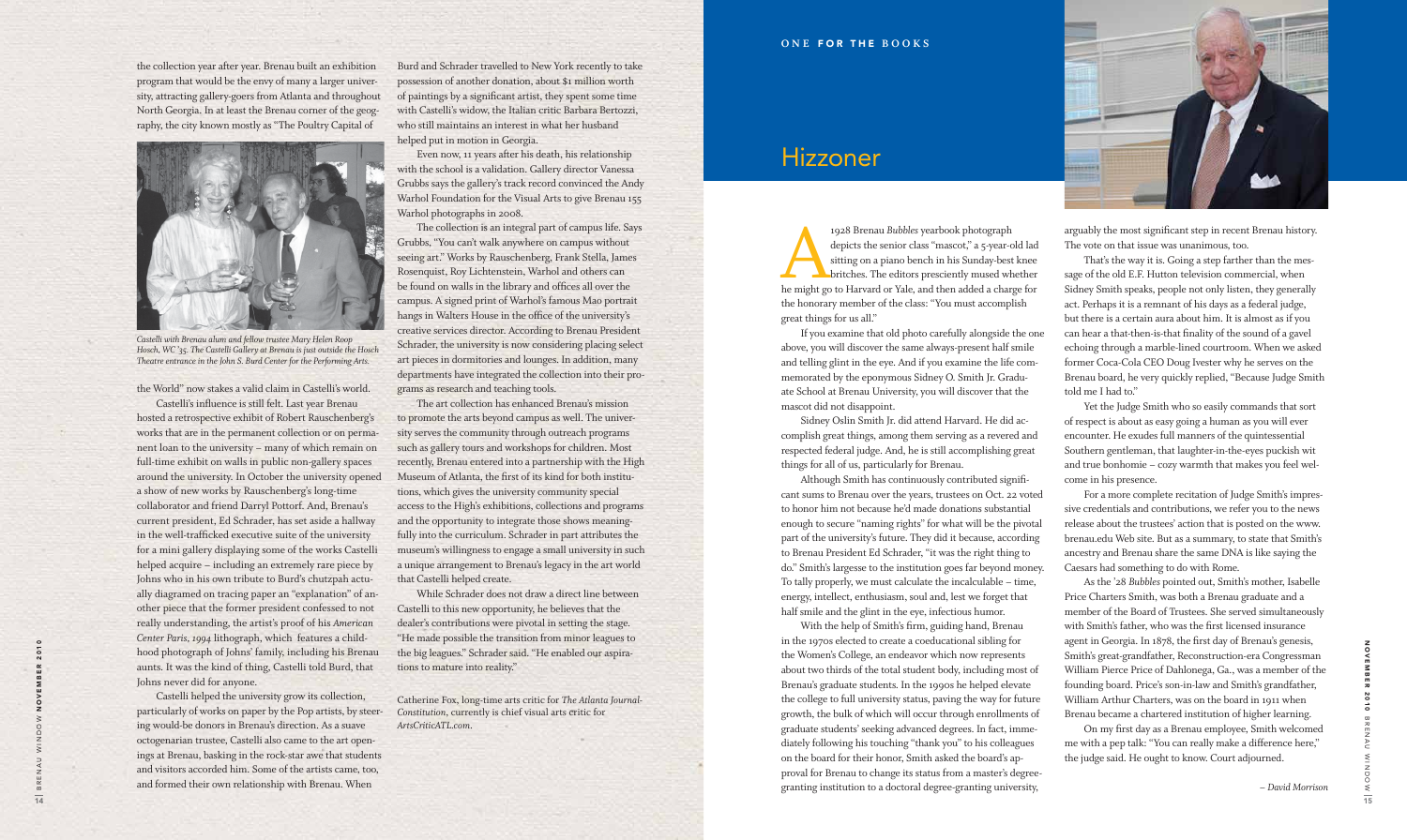the collection year after year. Brenau built an exhibition program that would be the envy of many a larger university, attracting gallery-goers from Atlanta and throughout North Georgia. In at least the Brenau corner of the geography, the city known mostly as "The Poultry Capital of



*Castelli with Brenau alum and fellow trustee Mary Helen Roop Hosch, WC '35. The Castelli Gallery at Brenau is just outside the Hosch Theatre entrance in the John S. Burd Center for the Performing Arts.*

the World" now stakes a valid claim in Castelli's world.

Castelli's influence is still felt. Last year Brenau hosted a retrospective exhibit of Robert Rauschenberg's works that are in the permanent collection or on permanent loan to the university – many of which remain on full-time exhibit on walls in public non-gallery spaces around the university. In October the university opened a show of new works by Rauschenberg's long-time collaborator and friend Darryl Pottorf. And, Brenau's current president, Ed Schrader, has set aside a hallway in the well-trafficked executive suite of the university for a mini gallery displaying some of the works Castelli helped acquire – including an extremely rare piece by Johns who in his own tribute to Burd's chutzpah actually diagramed on tracing paper an "explanation" of another piece that the former president confessed to not really understanding, the artist's proof of his *American Center Paris, 1994* lithograph, which features a childhood photograph of Johns' family, including his Brenau aunts. It was the kind of thing, Castelli told Burd, that Johns never did for anyone.

Castelli helped the university grow its collection, particularly of works on paper by the Pop artists, by steering would-be donors in Brenau's direction. As a suave octogenarian trustee, Castelli also came to the art openings at Brenau, basking in the rock-star awe that students and visitors accorded him. Some of the artists came, too, and formed their own relationship with Brenau. When

Burd and Schrader travelled to New York recently to take possession of another donation, about \$1 million worth of paintings by a significant artist, they spent some time with Castelli's widow, the Italian critic Barbara Bertozzi, who still maintains an interest in what her husband helped put in motion in Georgia.

Even now, 11 years after his death, his relationship with the school is a validation. Gallery director Vanessa Grubbs says the gallery's track record convinced the Andy Warhol Foundation for the Visual Arts to give Brenau 155 Warhol photographs in 2008.

The collection is an integral part of campus life. Says Grubbs, "You can't walk anywhere on campus without seeing art." Works by Rauschenberg, Frank Stella, James Rosenquist, Roy Lichtenstein, Warhol and others can be found on walls in the library and offices all over the campus. A signed print of Warhol's famous Mao portrait hangs in Walters House in the office of the university's creative services director. According to Brenau President Schrader, the university is now considering placing select art pieces in dormitories and lounges. In addition, many departments have integrated the collection into their programs as research and teaching tools.

The art collection has enhanced Brenau's mission to promote the arts beyond campus as well. The university serves the community through outreach programs such as gallery tours and workshops for children. Most recently, Brenau entered into a partnership with the High Museum of Atlanta, the first of its kind for both institutions, which gives the university community special access to the High's exhibitions, collections and programs and the opportunity to integrate those shows meaningfully into the curriculum. Schrader in part attributes the museum's willingness to engage a small university in such a unique arrangement to Brenau's legacy in the art world that Castelli helped create.

While Schrader does not draw a direct line between Castelli to this new opportunity, he believes that the dealer's contributions were pivotal in setting the stage. "He made possible the transition from minor leagues to the big leagues." Schrader said. "He enabled our aspirations to mature into reality."

Catherine Fox, long-time arts critic for *The Atlanta Journal-Constitution*, currently is chief visual arts critic for *ArtsCriticATL.com*.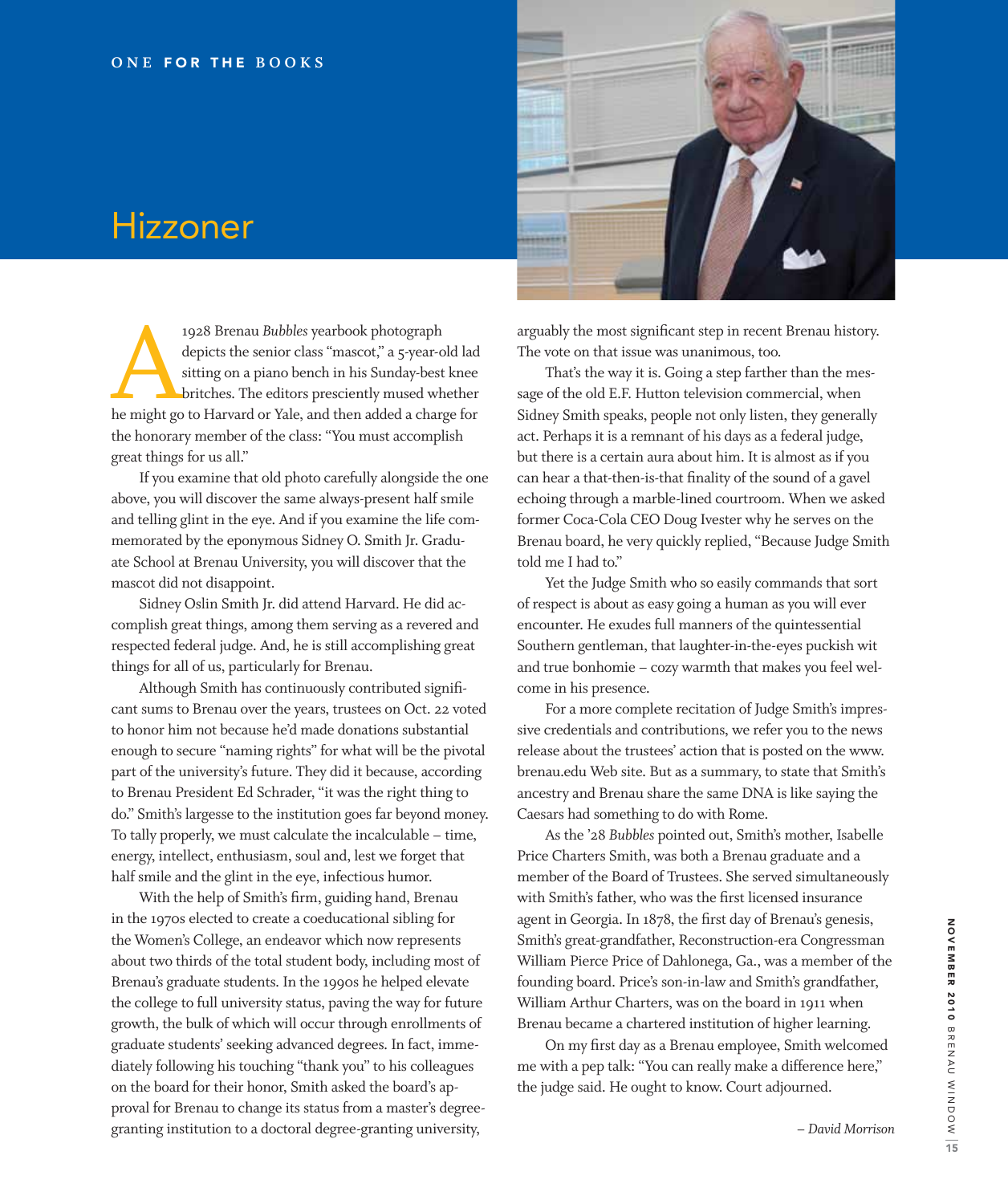

## Hizzoner

1928 Brenau *Bubbles* yearbook photograph<br>depicts the senior class "mascot," a 5-year-old lad<br>sitting on a piano bench in his Sunday-best knee<br>britches. The editors presciently mused whether<br>he might go to Harvard or Yale, depicts the senior class "mascot," a 5-year-old lad sitting on a piano bench in his Sunday-best knee britches. The editors presciently mused whether the honorary member of the class: "You must accomplish great things for us all."

If you examine that old photo carefully alongside the one above, you will discover the same always-present half smile and telling glint in the eye. And if you examine the life commemorated by the eponymous Sidney O. Smith Jr. Graduate School at Brenau University, you will discover that the mascot did not disappoint.

Sidney Oslin Smith Jr. did attend Harvard. He did accomplish great things, among them serving as a revered and respected federal judge. And, he is still accomplishing great things for all of us, particularly for Brenau.

 Although Smith has continuously contributed significant sums to Brenau over the years, trustees on Oct. 22 voted to honor him not because he'd made donations substantial enough to secure "naming rights" for what will be the pivotal part of the university's future. They did it because, according to Brenau President Ed Schrader, "it was the right thing to do." Smith's largesse to the institution goes far beyond money. To tally properly, we must calculate the incalculable – time, energy, intellect, enthusiasm, soul and, lest we forget that half smile and the glint in the eye, infectious humor.

 With the help of Smith's firm, guiding hand, Brenau in the 1970s elected to create a coeducational sibling for the Women's College, an endeavor which now represents about two thirds of the total student body, including most of Brenau's graduate students. In the 1990s he helped elevate the college to full university status, paving the way for future growth, the bulk of which will occur through enrollments of graduate students' seeking advanced degrees. In fact, immediately following his touching "thank you" to his colleagues on the board for their honor, Smith asked the board's approval for Brenau to change its status from a master's degreegranting institution to a doctoral degree-granting university,

arguably the most significant step in recent Brenau history. The vote on that issue was unanimous, too.

That's the way it is. Going a step farther than the message of the old E.F. Hutton television commercial, when Sidney Smith speaks, people not only listen, they generally act. Perhaps it is a remnant of his days as a federal judge, but there is a certain aura about him. It is almost as if you can hear a that-then-is-that finality of the sound of a gavel echoing through a marble-lined courtroom. When we asked former Coca-Cola CEO Doug Ivester why he serves on the Brenau board, he very quickly replied, "Because Judge Smith told me I had to."

Yet the Judge Smith who so easily commands that sort of respect is about as easy going a human as you will ever encounter. He exudes full manners of the quintessential Southern gentleman, that laughter-in-the-eyes puckish wit and true bonhomie – cozy warmth that makes you feel welcome in his presence.

For a more complete recitation of Judge Smith's impressive credentials and contributions, we refer you to the news release about the trustees' action that is posted on the www. brenau.edu Web site. But as a summary, to state that Smith's ancestry and Brenau share the same DNA is like saying the Caesars had something to do with Rome.

As the '28 *Bubbles* pointed out, Smith's mother, Isabelle Price Charters Smith, was both a Brenau graduate and a member of the Board of Trustees. She served simultaneously with Smith's father, who was the first licensed insurance agent in Georgia. In 1878, the first day of Brenau's genesis, Smith's great-grandfather, Reconstruction-era Congressman William Pierce Price of Dahlonega, Ga., was a member of the founding board. Price's son-in-law and Smith's grandfather, William Arthur Charters, was on the board in 1911 when Brenau became a chartered institution of higher learning.

 On my first day as a Brenau employee, Smith welcomed me with a pep talk: "You can really make a difference here," the judge said. He ought to know. Court adjourned.